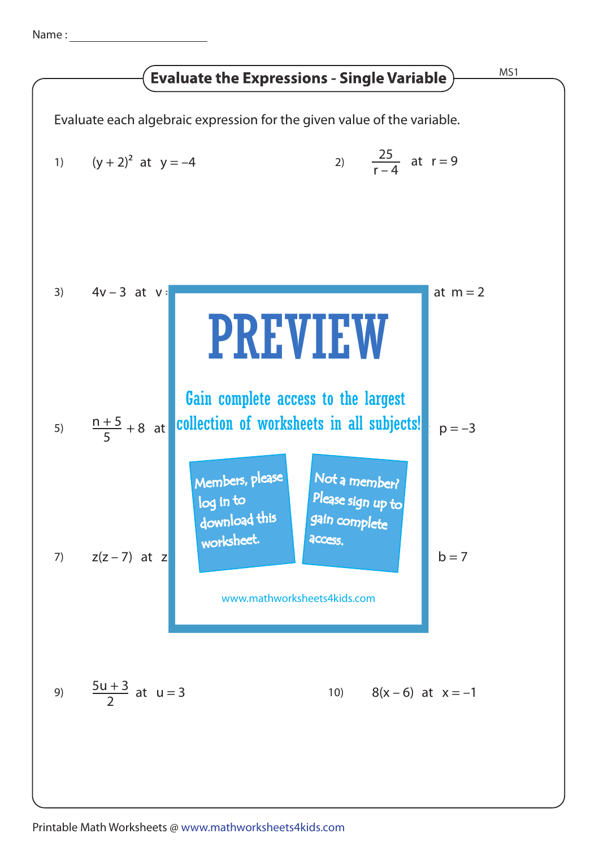